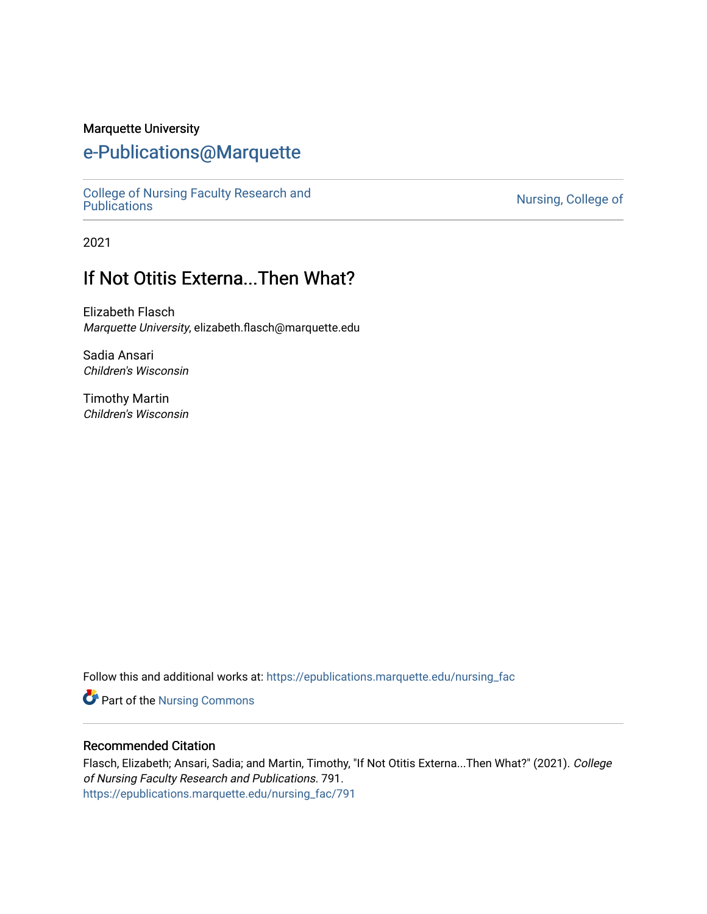#### Marquette University

# [e-Publications@Marquette](https://epublications.marquette.edu/)

[College of Nursing Faculty Research and](https://epublications.marquette.edu/nursing_fac)

Nursing, College of

2021

# If Not Otitis Externa...Then What?

Elizabeth Flasch Marquette University, elizabeth.flasch@marquette.edu

Sadia Ansari Children's Wisconsin

Timothy Martin Children's Wisconsin

Follow this and additional works at: [https://epublications.marquette.edu/nursing\\_fac](https://epublications.marquette.edu/nursing_fac?utm_source=epublications.marquette.edu%2Fnursing_fac%2F791&utm_medium=PDF&utm_campaign=PDFCoverPages)

Part of the [Nursing Commons](http://network.bepress.com/hgg/discipline/718?utm_source=epublications.marquette.edu%2Fnursing_fac%2F791&utm_medium=PDF&utm_campaign=PDFCoverPages) 

#### Recommended Citation

Flasch, Elizabeth; Ansari, Sadia; and Martin, Timothy, "If Not Otitis Externa...Then What?" (2021). College of Nursing Faculty Research and Publications. 791. [https://epublications.marquette.edu/nursing\\_fac/791](https://epublications.marquette.edu/nursing_fac/791?utm_source=epublications.marquette.edu%2Fnursing_fac%2F791&utm_medium=PDF&utm_campaign=PDFCoverPages)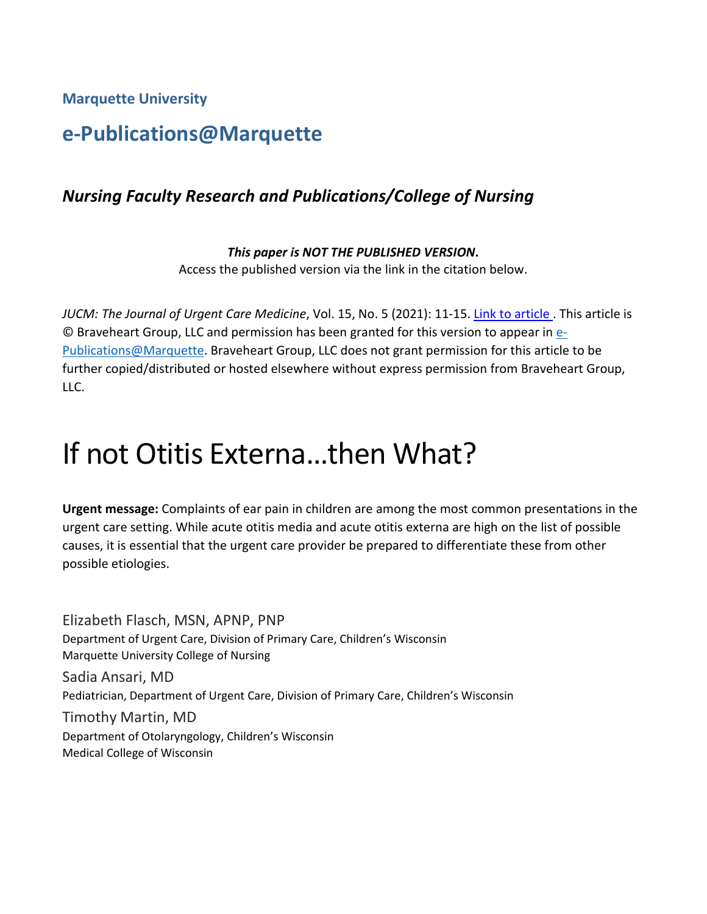**Marquette University**

# **e-Publications@Marquette**

# *Nursing Faculty Research and Publications/College of Nursing*

*This paper is NOT THE PUBLISHED VERSION***.**  Access the published version via the link in the citation below.

*JUCM: The Journal of Urgent Care Medicine*, Vol. 15, No. 5 (2021): 11-15. [Link to article .](https://www.jucm.com/if-not-otitis-externathen-what/) This article is © Braveheart Group, LLC and permission has been granted for this version to appear i[n e-](http://epublications.marquette.edu/)[Publications@Marquette.](http://epublications.marquette.edu/) Braveheart Group, LLC does not grant permission for this article to be further copied/distributed or hosted elsewhere without express permission from Braveheart Group, LLC.

# If not Otitis Externa…then What?

**Urgent message:** Complaints of ear pain in children are among the most common presentations in the urgent care setting. While acute otitis media and acute otitis externa are high on the list of possible causes, it is essential that the urgent care provider be prepared to differentiate these from other possible etiologies.

Elizabeth Flasch, MSN, APNP, PNP Department of Urgent Care, Division of Primary Care, Children's Wisconsin Marquette University College of Nursing Sadia Ansari, MD Pediatrician, Department of Urgent Care, Division of Primary Care, Children's Wisconsin Timothy Martin, MD Department of Otolaryngology, Children's Wisconsin Medical College of Wisconsin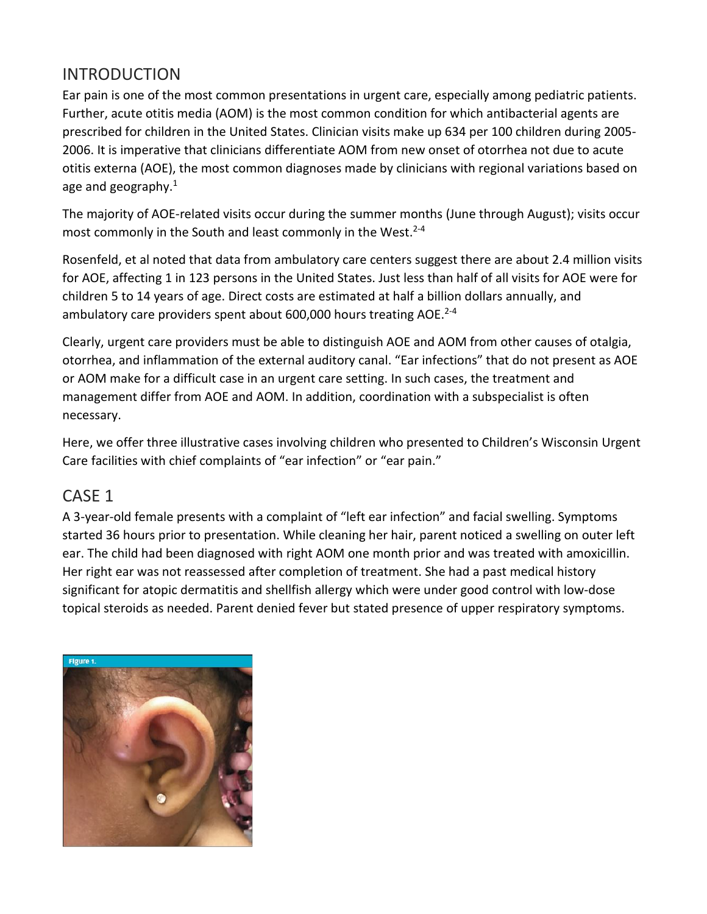# INTRODUCTION

Ear pain is one of the most common presentations in urgent care, especially among pediatric patients. Further, acute otitis media (AOM) is the most common condition for which antibacterial agents are prescribed for children in the United States. Clinician visits make up 634 per 100 children during 2005- 2006. It is imperative that clinicians differentiate AOM from new onset of otorrhea not due to acute otitis externa (AOE), the most common diagnoses made by clinicians with regional variations based on age and geography. $1$ 

The majority of AOE-related visits occur during the summer months (June through August); visits occur most commonly in the South and least commonly in the West.<sup>2-4</sup>

Rosenfeld, et al noted that data from ambulatory care centers suggest there are about 2.4 million visits for AOE, affecting 1 in 123 persons in the United States. Just less than half of all visits for AOE were for children 5 to 14 years of age. Direct costs are estimated at half a billion dollars annually, and ambulatory care providers spent about 600,000 hours treating AOE.<sup>2-4</sup>

Clearly, urgent care providers must be able to distinguish AOE and AOM from other causes of otalgia, otorrhea, and inflammation of the external auditory canal. "Ear infections" that do not present as AOE or AOM make for a difficult case in an urgent care setting. In such cases, the treatment and management differ from AOE and AOM. In addition, coordination with a subspecialist is often necessary.

Here, we offer three illustrative cases involving children who presented to Children's Wisconsin Urgent Care facilities with chief complaints of "ear infection" or "ear pain."

# CASE 1

A 3-year-old female presents with a complaint of "left ear infection" and facial swelling. Symptoms started 36 hours prior to presentation. While cleaning her hair, parent noticed a swelling on outer left ear. The child had been diagnosed with right AOM one month prior and was treated with amoxicillin. Her right ear was not reassessed after completion of treatment. She had a past medical history significant for atopic dermatitis and shellfish allergy which were under good control with low-dose topical steroids as needed. Parent denied fever but stated presence of upper respiratory symptoms.

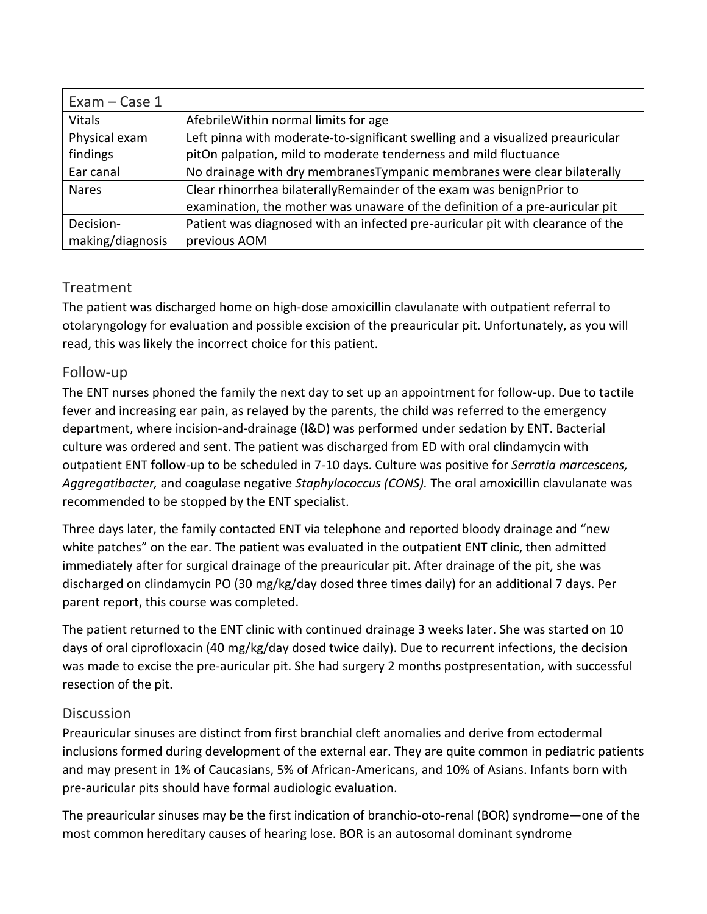| Exam - Case 1    |                                                                                |
|------------------|--------------------------------------------------------------------------------|
| <b>Vitals</b>    | Afebrile Within normal limits for age                                          |
| Physical exam    | Left pinna with moderate-to-significant swelling and a visualized preauricular |
| findings         | pitOn palpation, mild to moderate tenderness and mild fluctuance               |
| Ear canal        | No drainage with dry membranes Tympanic membranes were clear bilaterally       |
| <b>Nares</b>     | Clear rhinorrhea bilaterally Remainder of the exam was benign Prior to         |
|                  | examination, the mother was unaware of the definition of a pre-auricular pit   |
| Decision-        | Patient was diagnosed with an infected pre-auricular pit with clearance of the |
| making/diagnosis | previous AOM                                                                   |

### Treatment

The patient was discharged home on high-dose amoxicillin clavulanate with outpatient referral to otolaryngology for evaluation and possible excision of the preauricular pit. Unfortunately, as you will read, this was likely the incorrect choice for this patient.

#### Follow-up

The ENT nurses phoned the family the next day to set up an appointment for follow-up. Due to tactile fever and increasing ear pain, as relayed by the parents, the child was referred to the emergency department, where incision-and-drainage (I&D) was performed under sedation by ENT. Bacterial culture was ordered and sent. The patient was discharged from ED with oral clindamycin with outpatient ENT follow-up to be scheduled in 7-10 days. Culture was positive for *Serratia marcescens, Aggregatibacter,* and coagulase negative *Staphylococcus (CONS).* The oral amoxicillin clavulanate was recommended to be stopped by the ENT specialist.

Three days later, the family contacted ENT via telephone and reported bloody drainage and "new white patches" on the ear. The patient was evaluated in the outpatient ENT clinic, then admitted immediately after for surgical drainage of the preauricular pit. After drainage of the pit, she was discharged on clindamycin PO (30 mg/kg/day dosed three times daily) for an additional 7 days. Per parent report, this course was completed.

The patient returned to the ENT clinic with continued drainage 3 weeks later. She was started on 10 days of oral ciprofloxacin (40 mg/kg/day dosed twice daily). Due to recurrent infections, the decision was made to excise the pre-auricular pit. She had surgery 2 months postpresentation, with successful resection of the pit.

#### Discussion

Preauricular sinuses are distinct from first branchial cleft anomalies and derive from ectodermal inclusions formed during development of the external ear. They are quite common in pediatric patients and may present in 1% of Caucasians, 5% of African-Americans, and 10% of Asians. Infants born with pre-auricular pits should have formal audiologic evaluation.

The preauricular sinuses may be the first indication of branchio-oto-renal (BOR) syndrome—one of the most common hereditary causes of hearing lose. BOR is an autosomal dominant syndrome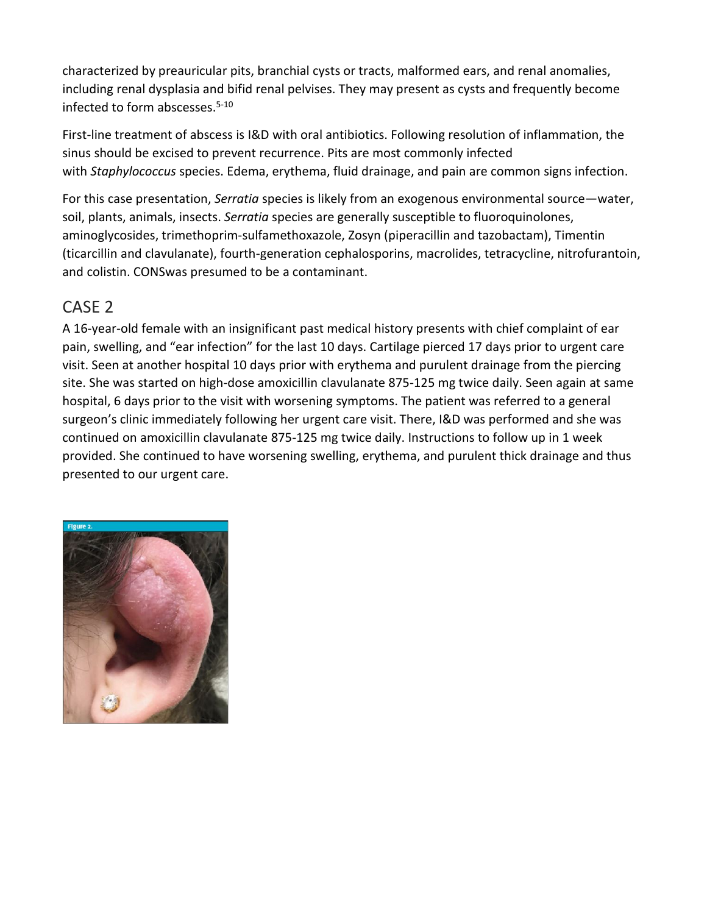characterized by preauricular pits, branchial cysts or tracts, malformed ears, and renal anomalies, including renal dysplasia and bifid renal pelvises. They may present as cysts and frequently become infected to form abscesses. $5-10$ 

First-line treatment of abscess is I&D with oral antibiotics. Following resolution of inflammation, the sinus should be excised to prevent recurrence. Pits are most commonly infected with *Staphylococcus* species. Edema, erythema, fluid drainage, and pain are common signs infection.

For this case presentation, *Serratia* species is likely from an exogenous environmental source—water, soil, plants, animals, insects. *Serratia* species are generally susceptible to fluoroquinolones, aminoglycosides, trimethoprim-sulfamethoxazole, Zosyn (piperacillin and tazobactam), Timentin (ticarcillin and clavulanate), fourth-generation cephalosporins, macrolides, tetracycline, nitrofurantoin, and colistin. CONSwas presumed to be a contaminant.

# CASE 2

A 16-year-old female with an insignificant past medical history presents with chief complaint of ear pain, swelling, and "ear infection" for the last 10 days. Cartilage pierced 17 days prior to urgent care visit. Seen at another hospital 10 days prior with erythema and purulent drainage from the piercing site. She was started on high-dose amoxicillin clavulanate 875-125 mg twice daily. Seen again at same hospital, 6 days prior to the visit with worsening symptoms. The patient was referred to a general surgeon's clinic immediately following her urgent care visit. There, I&D was performed and she was continued on amoxicillin clavulanate 875-125 mg twice daily. Instructions to follow up in 1 week provided. She continued to have worsening swelling, erythema, and purulent thick drainage and thus presented to our urgent care.

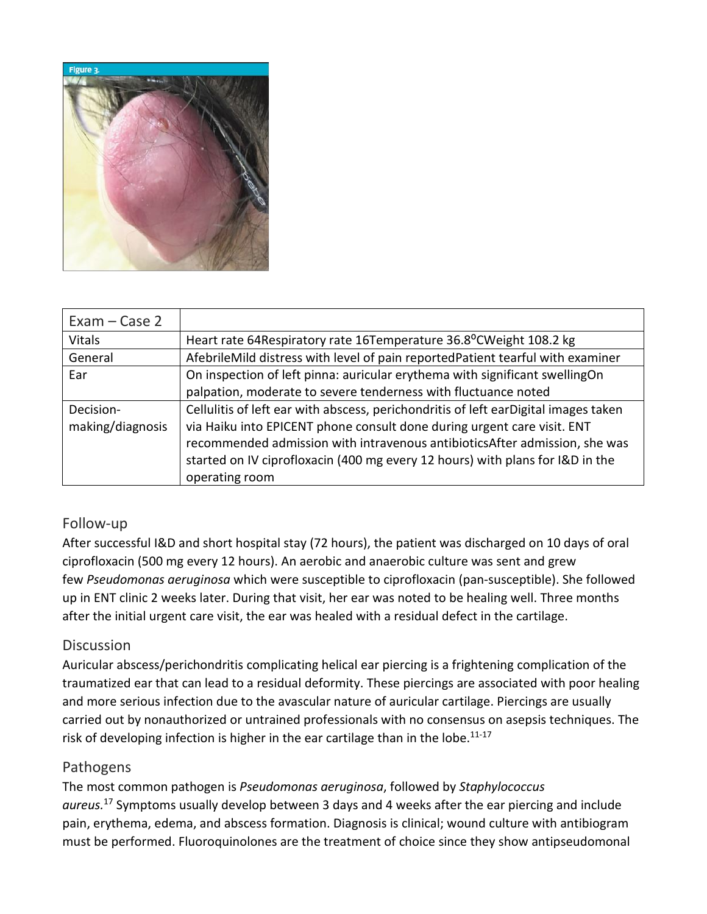

| $Exam - Case 2$  |                                                                                     |
|------------------|-------------------------------------------------------------------------------------|
| <b>Vitals</b>    | Heart rate 64 Respiratory rate 16 Temperature 36.8°C Weight 108.2 kg                |
| General          | AfebrileMild distress with level of pain reportedPatient tearful with examiner      |
| Ear              | On inspection of left pinna: auricular erythema with significant swellingOn         |
|                  | palpation, moderate to severe tenderness with fluctuance noted                      |
| Decision-        | Cellulitis of left ear with abscess, perichondritis of left earDigital images taken |
| making/diagnosis | via Haiku into EPICENT phone consult done during urgent care visit. ENT             |
|                  | recommended admission with intravenous antibiotics After admission, she was         |
|                  | started on IV ciprofloxacin (400 mg every 12 hours) with plans for I&D in the       |
|                  | operating room                                                                      |

#### Follow-up

After successful I&D and short hospital stay (72 hours), the patient was discharged on 10 days of oral ciprofloxacin (500 mg every 12 hours). An aerobic and anaerobic culture was sent and grew few *Pseudomonas aeruginosa* which were susceptible to ciprofloxacin (pan-susceptible). She followed up in ENT clinic 2 weeks later. During that visit, her ear was noted to be healing well. Three months after the initial urgent care visit, the ear was healed with a residual defect in the cartilage.

#### **Discussion**

Auricular abscess/perichondritis complicating helical ear piercing is a frightening complication of the traumatized ear that can lead to a residual deformity. These piercings are associated with poor healing and more serious infection due to the avascular nature of auricular cartilage. Piercings are usually carried out by nonauthorized or untrained professionals with no consensus on asepsis techniques. The risk of developing infection is higher in the ear cartilage than in the lobe. $11-17$ 

#### Pathogens

The most common pathogen is *Pseudomonas aeruginosa*, followed by *Staphylococcus aureus.*<sup>17</sup> Symptoms usually develop between 3 days and 4 weeks after the ear piercing and include pain, erythema, edema, and abscess formation. Diagnosis is clinical; wound culture with antibiogram must be performed. Fluoroquinolones are the treatment of choice since they show antipseudomonal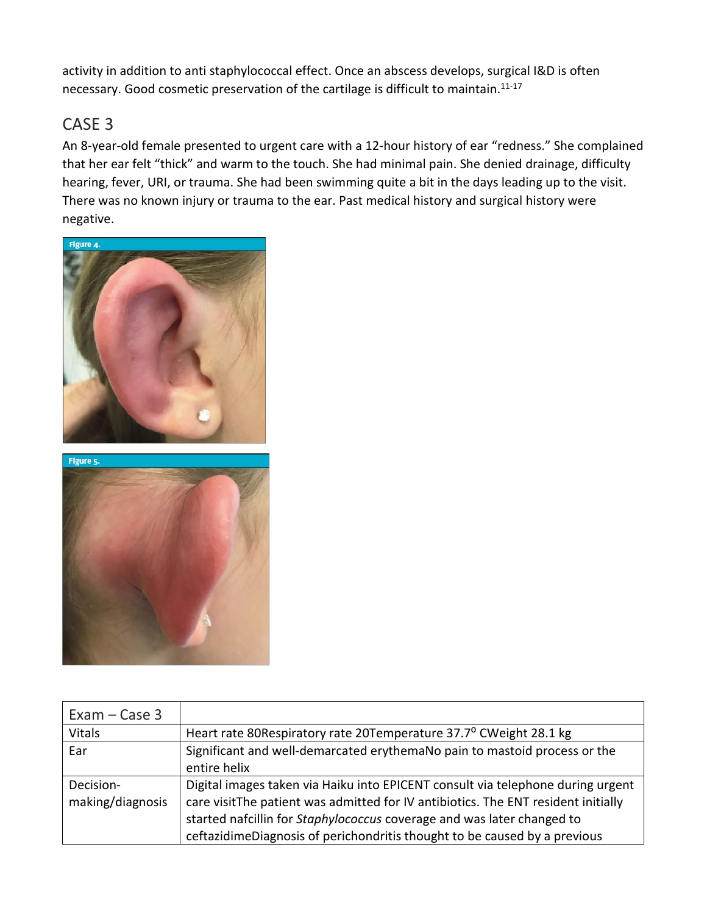activity in addition to anti staphylococcal effect. Once an abscess develops, surgical I&D is often necessary. Good cosmetic preservation of the cartilage is difficult to maintain.<sup>11-17</sup>

# CASE 3

An 8-year-old female presented to urgent care with a 12-hour history of ear "redness." She complained that her ear felt "thick" and warm to the touch. She had minimal pain. She denied drainage, difficulty hearing, fever, URI, or trauma. She had been swimming quite a bit in the days leading up to the visit. There was no known injury or trauma to the ear. Past medical history and surgical history were negative.



Figure 5.

| $Exam - Case 3$               |                                                                                                                                                                                                                                                                                                                             |
|-------------------------------|-----------------------------------------------------------------------------------------------------------------------------------------------------------------------------------------------------------------------------------------------------------------------------------------------------------------------------|
| Vitals                        | Heart rate 80Respiratory rate 20Temperature 37.7° CWeight 28.1 kg                                                                                                                                                                                                                                                           |
| Ear                           | Significant and well-demarcated erythemaNo pain to mastoid process or the<br>entire helix                                                                                                                                                                                                                                   |
| Decision-<br>making/diagnosis | Digital images taken via Haiku into EPICENT consult via telephone during urgent<br>care visitThe patient was admitted for IV antibiotics. The ENT resident initially<br>started nafcillin for Staphylococcus coverage and was later changed to<br>ceftazidimeDiagnosis of perichondritis thought to be caused by a previous |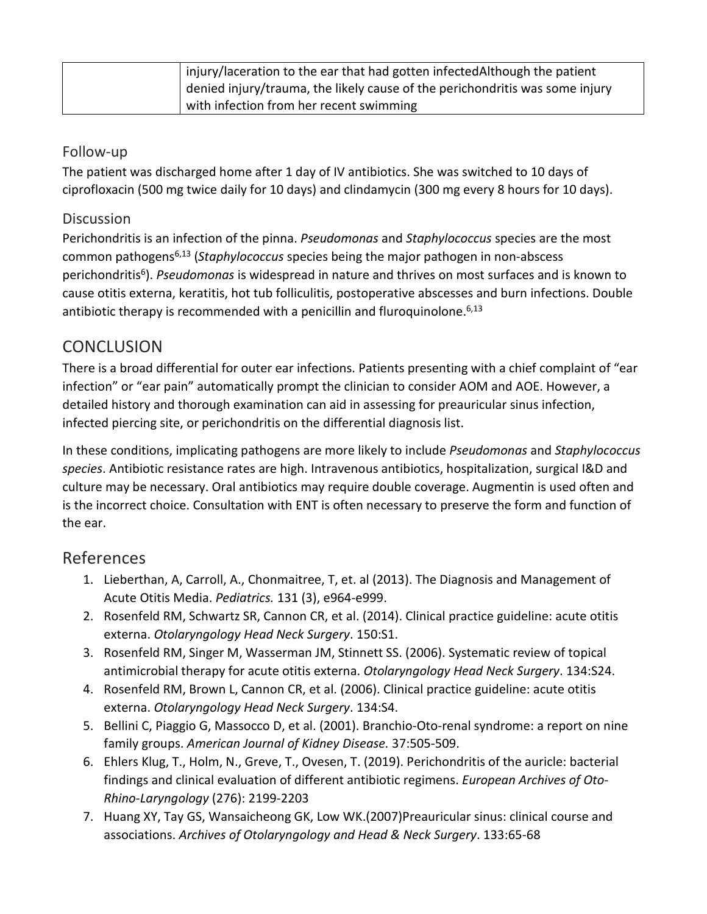| injury/laceration to the ear that had gotten infected Although the patient   |
|------------------------------------------------------------------------------|
| denied injury/trauma, the likely cause of the perichondritis was some injury |
| with infection from her recent swimming                                      |

#### Follow-up

The patient was discharged home after 1 day of IV antibiotics. She was switched to 10 days of ciprofloxacin (500 mg twice daily for 10 days) and clindamycin (300 mg every 8 hours for 10 days).

#### **Discussion**

Perichondritis is an infection of the pinna. *Pseudomonas* and *Staphylococcus* species are the most common pathogens6,13 (*Staphylococcus* species being the major pathogen in non-abscess perichondritis6). *Pseudomonas* is widespread in nature and thrives on most surfaces and is known to cause otitis externa, keratitis, hot tub folliculitis, postoperative abscesses and burn infections. Double antibiotic therapy is recommended with a penicillin and fluroquinolone.  $6,13$ 

# **CONCLUSION**

There is a broad differential for outer ear infections. Patients presenting with a chief complaint of "ear infection" or "ear pain" automatically prompt the clinician to consider AOM and AOE. However, a detailed history and thorough examination can aid in assessing for preauricular sinus infection, infected piercing site, or perichondritis on the differential diagnosis list.

In these conditions, implicating pathogens are more likely to include *Pseudomonas* and *Staphylococcus species*. Antibiotic resistance rates are high. Intravenous antibiotics, hospitalization, surgical I&D and culture may be necessary. Oral antibiotics may require double coverage. Augmentin is used often and is the incorrect choice. Consultation with ENT is often necessary to preserve the form and function of the ear.

# References

- 1. Lieberthan, A, Carroll, A., Chonmaitree, T, et. al (2013). The Diagnosis and Management of Acute Otitis Media. *Pediatrics.* 131 (3), e964-e999.
- 2. Rosenfeld RM, Schwartz SR, Cannon CR, et al. (2014). Clinical practice guideline: acute otitis externa. *Otolaryngology Head Neck Surgery*. 150:S1.
- 3. Rosenfeld RM, Singer M, Wasserman JM, Stinnett SS. (2006). Systematic review of topical antimicrobial therapy for acute otitis externa. *Otolaryngology Head Neck Surgery*. 134:S24.
- 4. Rosenfeld RM, Brown L, Cannon CR, et al. (2006). Clinical practice guideline: acute otitis externa. *Otolaryngology Head Neck Surgery*. 134:S4.
- 5. Bellini C, Piaggio G, Massocco D, et al. (2001). Branchio-Oto-renal syndrome: a report on nine family groups. *American Journal of Kidney Disease.* 37:505-509.
- 6. Ehlers Klug, T., Holm, N., Greve, T., Ovesen, T. (2019). Perichondritis of the auricle: bacterial findings and clinical evaluation of different antibiotic regimens. *European Archives of Oto-Rhino-Laryngology* (276): 2199-2203
- 7. Huang XY, Tay GS, Wansaicheong GK, Low WK.(2007)Preauricular sinus: clinical course and associations. *Archives of Otolaryngology and Head & Neck Surgery*. 133:65-68